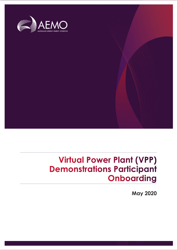

# **Virtual Power Plant (VPP) Demonstrations Participant**<br>**Onboarding**

May 2020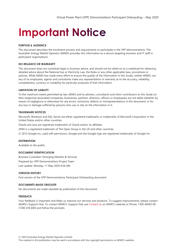# **Important Notice**

#### **PURPOSE & AUDIENCE**

This document describes the enrolment process and requirements to participate in the VPP demonstrations. The Australian Energy Market Operator (AEMO) provides this information as a service targeting business and IT staff in participant organisations.

#### **NO RELIANCE OR WARRANTY**

This document does not constitute legal or business advice, and should not be relied on as a substitute for obtaining detailed advice about the National Gas or Electricity Law, the Rules or any other applicable laws, procedures or policies. While AEMO has made every effort to ensure the quality of the information in this Guide, neither AEMO, nor any of its employees, agents and consultants make any representation or warranty as to the accuracy, reliability, completeness, currency or suitability for particular purposes of that information.

#### **LIMITATION OF LIABILITY**

To the maximum extent permitted by law, AEMO and its advisers, consultants and other contributors to this Guide (or their respective associated companies, businesses, partners, directors, officers or employees) are not liable (whether by reason of negligence or otherwise) for any errors, omissions, defects or misrepresentations in this document, or for any loss or damage suffered by persons who use or rely on the information in it.

#### **TRADEMARK NOTICES**

Microsoft, Windows and SQL Server are either registered trademarks or trademarks of Microsoft Corporation in the United States and/or other countries.

Oracle and Java are registered trademarks of Oracle and/or its affiliates.

UNIX is a registered trademark of The Open Group in the US and other countries.

© 2015 Google Inc, used with permission. Google and the Google logo are registered trademarks of Google Inc.

#### **DISTRIBUTION**

Available to the public.

#### **DOCUMENT IDENTIFICATION**

Business Custodian: Emerging Markets & Services Prepared by: VPP Demonstrations Project Team Last update: Monday, 11 May 2020 8:36 AM

#### **VERSION HISTORY**

First version of the VPP Demonstrations Participant Onboarding document

#### **DOCUMENTS MADE OBSOLETE**

No documents are made obsolete by publication of this document.

#### **FEEDBACK**

Your feedback is important and helps us improve our services and products. To suggest improvements, please contact AEMO's Support Hub. To contact AEMO's Support Hub use [Contact Us](http://aemo.com.au/Contact-us) on AEMO's website or Phone: 1300 AEMO 00 (1300 236 600) and follow the prompts.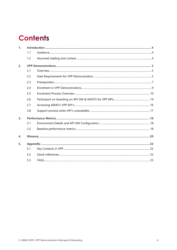# **Contents**

| 1.             |     |  |  |
|----------------|-----|--|--|
|                | 1.1 |  |  |
|                | 1.2 |  |  |
| 2.             |     |  |  |
|                | 2.1 |  |  |
|                | 2.2 |  |  |
|                | 2.3 |  |  |
|                | 2.4 |  |  |
|                | 2.5 |  |  |
|                | 2.6 |  |  |
|                | 2.7 |  |  |
|                | 2.8 |  |  |
| 3 <sub>1</sub> |     |  |  |
|                | 3.1 |  |  |
|                | 3.2 |  |  |
| $\mathbf{4}$   |     |  |  |
| 5.             |     |  |  |
|                | 5.1 |  |  |
|                | 5.2 |  |  |
|                | 5.3 |  |  |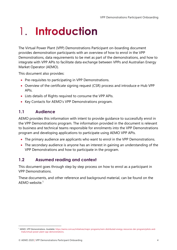# <span id="page-3-0"></span>1. Introduction

The Virtual Power Plant (VPP) Demonstrations Participant on-boarding document provides demonstration participants with an overview of how to enrol in the VPP Demonstrations, data requirements to be met as part of the demonstrations, and how to integrate with VPP APIs to facilitate data exchange between VPPs and Australian Energy Market Operator (AEMO).

This document also provides:

- Pre-requisites to participating in VPP Demonstrations.
- Overview of the certificate signing request (CSR) process and introduce e-Hub VPP APIs.
- Lists details of Rights required to consume the VPP APIs.
- Key Contacts for AEMO's VPP Demonstrations program.

### <span id="page-3-1"></span>**1.1 Audience**

AEMO provides this information with intent to provide guidance to successfully enrol in the VPP Demonstrations program. The information provided in the document is relevant to business and technical teams responsible for enrolments into the VPP Demonstrations program and developing applications to participate using AEMO VPP APIs.

- The primary audience are applicants who want to enrol in the VPP Demonstrations.
- The secondary audience is anyone has an interest in gaining an understanding of the VPP Demonstrations and how to participate in the program.

### <span id="page-3-2"></span>**1.2 Assumed reading and context**

This document goes through step by step process on how to enrol as a participant in VPP Demonstrations.

These documents, and other reference and background material, can be found on the AEMO website.<sup>1</sup>

<sup>1</sup> AEMO. *VPP Demonstrations*. Available[: https://aemo.com.au/initiatives/major-programs/nem-distributed-energy-resources-der-program/pilots-and](https://aemo.com.au/initiatives/major-programs/nem-distributed-energy-resources-der-program/pilots-and-trials/virtual-power-plant-vpp-demonstrations)[trials/virtual-power-plant-vpp-demonstrations.](https://aemo.com.au/initiatives/major-programs/nem-distributed-energy-resources-der-program/pilots-and-trials/virtual-power-plant-vpp-demonstrations)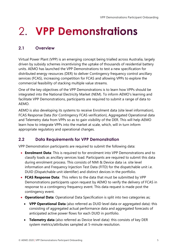# <span id="page-4-0"></span>2. VPP Demonstrations

### <span id="page-4-1"></span>**2.1 Overview**

Virtual Power Plant (VPP) is an emerging concept being trialled across Australia, largely driven by subsidy schemes incentivising the uptake of thousands of residential battery units. AEMO has launched the VPP Demonstrations to test a new specification for distributed energy resources (DER) to deliver Contingency frequency control ancillary services (FCAS), increasing competition for FCAS and allowing VPPs to explore the commercial feasibility of stacking multiple value streams.

One of the key objectives of the VPP Demonstrations is to learn how VPPs should be integrated into the National Electricity Market (NEM). To inform AEMO's learning and facilitate VPP Demonstrations, participants are required to submit a range of data to AEMO.

AEMO is also developing its systems to receive Enrolment data (site level information), FCAS Response Data (for Contingency FCAS verification), Aggregated Operational data and Telemetry data from VPPs so as to gain visibility of the DER. This will help AEMO learn how to integrate VPPs into the market at scale, which, will in turn inform appropriate regulatory and operational changes.

### <span id="page-4-2"></span>**2.2 Data Requirements for VPP Demonstration**

VPP Demonstration participants are required to submit the following data:

- **Enrolment Data**: This is required to for enrolment into VPP Demonstrations and to classify loads as ancillary services load. Participants are required to submit this data during enrolment process. This consists of NMI & Device data i.e. site level information and Frequency Injection Test Data (FITD) for the dispatchable unit i.e. DUID (Dispatchable unit identifier) and distinct devices in the portfolio.
- **FCAS Response Data**: This refers to the data that must be submitted by VPP Demonstrations participants upon request by AEMO to verify the delivery of FCAS in response to a contingency frequency event. This data request is made post the contingency event.
- **Operational Data**: Operational Data Specification is split into two categories as;
	- **VPP Operational Data** (also referred as DUID level data or aggregated data): this consisting of aggregated actual performance data and aggregated forecasts of anticipated active power flows for each DUID in portfolio.
	- **Telemetry data** (also referred as Device level data): this consists of key DER system metrics/attributes sampled at 5-minute resolution.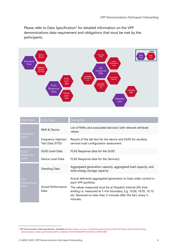Please refer to Data Specification<sup>2</sup> for detailed information on the VPP demonstrations data requirement and obligations that must be met by the participants.



| Date Feed                 | Data Type                               | <b>Description</b>                                                                                                                                                                                           |  |
|---------------------------|-----------------------------------------|--------------------------------------------------------------------------------------------------------------------------------------------------------------------------------------------------------------|--|
| Enrolment                 | NMI & Device                            | List of NMIs and associated device(s) with relevant attribute<br>values.                                                                                                                                     |  |
| Data                      | Frequency Injection<br>Test Data (FITD) | Results of the lab test for the device and DUID for ancillary<br>services load configuration assessment.                                                                                                     |  |
| <b>FCAS</b>               | <b>DUID Level Data</b>                  | FCAS Response data for the DUID                                                                                                                                                                              |  |
| Response<br>data          | Device Level Data                       | FCAS Response data for the Device(s)                                                                                                                                                                         |  |
|                           | Standing Data                           | Aggregated generation capacity, aggregated load capacity, and<br>total energy storage capacity                                                                                                               |  |
| <b>VPP</b><br>Operational |                                         | Actual delivered aggregated generation or load under control in<br>each VPP portfolio.                                                                                                                       |  |
| Data                      | <b>Actual Performance</b><br>Data       | The values measured must be at Dispatch Interval (DI) time<br>ending i.e. measured at 5 min boundary, E.g. 10.00, 10.05, 10.10<br>etc. Received no later than 5-minutes after the fact, every 5-<br>minutes. |  |

<sup>2</sup> VPP Demonstration Data Specification, Available a[t https://aemo.com.au/-/media/files/electricity/nem/der/2019/vpp-demonstrations/vpp](https://aemo.com.au/-/media/files/electricity/nem/der/2019/vpp-demonstrations/vpp-demonstrations-data-specification.pdf?la=en&hash=E0257A82E020B1F2E05D3C2CAFB314BB)[demonstrations-data-specification.pdf?la=en&hash=E0257A82E020B1F2E05D3C2CAFB314BB](https://aemo.com.au/-/media/files/electricity/nem/der/2019/vpp-demonstrations/vpp-demonstrations-data-specification.pdf?la=en&hash=E0257A82E020B1F2E05D3C2CAFB314BB)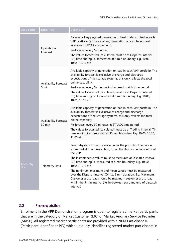| Date Feed         | Data Typ <u>e</u>                     | Description                                                                                                                                                                                                                                                                                                                                                                                                                                                                                                                                                                                 |
|-------------------|---------------------------------------|---------------------------------------------------------------------------------------------------------------------------------------------------------------------------------------------------------------------------------------------------------------------------------------------------------------------------------------------------------------------------------------------------------------------------------------------------------------------------------------------------------------------------------------------------------------------------------------------|
|                   | Operational<br>Forecast               | Forecast of aggregated generation or load under control in each<br>VPP portfolio (exclusive of any generation or load being held<br>available for FCAS enablement).<br>Re-forecast every 5-minutes.<br>The values forecasted (calculated) must be at Dispatch Interval<br>(DI) time ending i.e. forecasted at 5 min boundary, E.g. 10.00,<br>10.05, 10.10 etc                                                                                                                                                                                                                               |
|                   | <b>Availability Forecast</b><br>5 min | Available capacity of generation or load in each VPP portfolio. The<br>availability forecast is exclusive of charge and discharge<br>expectations of the storage systems, this only reflects the total<br>online capability.<br>Re-forecast every 5-minutes in the pre-dispatch time period.<br>The values forecasted (calculated) must be at Dispatch Interval<br>(DI) time ending i.e. forecasted at 5 min boundary, E.g. 10.00,<br>10.05, 10.10 etc.                                                                                                                                     |
|                   | Availability Forecast<br>30 min       | Available capacity of generation or load in each VPP portfolio. The<br>availability forecast is exclusive of charge and discharge<br>expectations of the storage systems, this only reflects the total<br>online capability.<br>Re-forecast every 30 minutes in STPASA time period.<br>The values forecasted (calculated) must be at Trading Interval (TI)<br>time ending i.e. forecasted at 30 min boundary, E.g. 10.00, 10.30,<br>11.00 etc                                                                                                                                               |
| Telemetry<br>Data | <b>Telemetry Data</b>                 | Telemetry data for each device under the portfolio. The data is<br>submitted at 5 min resolution, for all the devices under control of<br>the VPP.<br>The instantaneous values must be measured at Dispatch Interval<br>(DI) time ending i.e. measured at 5 min boundary, E.g. 10.00,<br>10.05, 10.10 etc.<br>The minimum, maximum and mean values must be measured<br>over the Dispatch Interval (DI) i.e. 5 min duration. E.g. Maximum:<br>Customer gross load should be maximum customer gross load<br>within the 5 min interval (i.e. in-between start and end of dispatch<br>interval) |

#### <span id="page-6-0"></span>**2.3 Prerequisites**

Enrolment in the VPP Demonstration program is open to registered market participants that are in the category of Market Customer (MC) or Market Ancillary Service Provider (MASP). All registered market participants are provided with a NEM Participant ID (Participant Identifier or PID) which uniquely identifies registered market participants in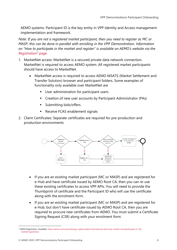AEMO systems. Participant ID is the key entity in VPP Identity and Access management implementation and framework.

*Note: If you are not a registered market participant, then you need to register as MC or MASP, this can be done in parallel with enrolling in the VPP Demonstration. Information on "How to participate in the market and register" is available on AEMO's website via the [Registration](https://aemo.com.au/en/energy-systems/electricity/national-electricity-market-nem/participate-in-the-market/registration)<sup>3</sup> page.*

- 1. MarketNet access: MarketNet is a secured private data network connection. MarketNet is required to access AEMO system. All registered market participants should have access to MarketNet.
	- MarketNet access is required to access AEMO MSATS (Market Settlement and Transfer Solution) browser and participant folders. Some examples of functionality only available over MarketNet are
		- User administration for participant users.
		- Creation of new user accounts by Participant Administrator (PAs)
		- Submitting bids/offers.
		- Receive FCAS enablement signals
- 2. Client Certificates: Separate certificates are required for pre-production and production environments



- If you are an existing market participant (MC or MASP) and are registered for e-Hub and have certificate issued by AEMO Root CA, then you can re-use these existing certificates to access VPP APIs. You will need to provide the Thumbprint of certificate and the Participant ID who will use the certificate along with the enrolment form.
- If you are an existing market participant (MC or MASP) and are registered for e-Hub, but don't have certificate issued by AEMO Root CA, then you are required to procure new certificates from AEMO. You must submit a Certificate Signing Request (CSR) along with your enrolment form.

<sup>3</sup> AEMO Registration. Available[: https://aemo.com.au/en/energy-systems/electricity/national-electricity-market-nem/participate-in-the](https://aemo.com.au/en/energy-systems/electricity/national-electricity-market-nem/participate-in-the-market/registration)[market/registration.](https://aemo.com.au/en/energy-systems/electricity/national-electricity-market-nem/participate-in-the-market/registration)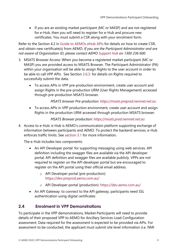• If you are an existing market participant (MC or MASP) and are not registered for e-Hub, then you will need to register for e-Hub and procure new certificates. You must submit a CSR along with your enrolment form.

Refer to the Section 4.2 in [Guide to AEMOs eHub APIs](https://www.aemo.com.au/-/media/Files/Electricity/NEM/IT-Systems-and-Change/2018/Guide-to-AEMOs-eHub-APIs.pdf) for details on how to create CSR, and obtain new certificate(s) from AEMO. *If you are the Participant Administrator and are not aware of Organisation ID, please contact AEMO [Support Hub](https://aemo.com.au/contact-us) on 1300 236 600*.

- 3. MSATS Browser Access: When you become a registered market participant (MC or MASP) you are provided access to MSATS Browser. The Participant Administrator (PA) within your organisation will be able to assign Rights to the user account in order to be able to call VPP APIs. See Section [2.6.3.](#page-13-1) for details on Rights required to successfully submit the data.
	- To access APIs in VPP pre-production environment, create user account and assign Rights in the pre-production URM (User Rights Management) accessed through pre-production MSATS browser.

#### *MSATS browser Pre-production: [https://msats.preprod.nemnet.net.au](https://msats.preprod.nemnet.net.au/)*

• To access APIs in VPP production environment, create user account and assign Rights in the production URM accessed through production MSATS browser.

#### *MSATS Browser production: [https://msats.prod.nemnet.net.au](https://msats.prod.nemnet.net.au/)*

4. Access to e-Hub: e-Hub is AEMO's communication platform supporting exchange of information between participants and AEMO. To protect the backend services, e-Hub enforces traffic limits. See [section 3.1](#page-17-2) for more information.

The e-Hub includes two components:

- An API Developer portal: for supporting messaging using web services. API definition including the swagger files are available via the API developer portal. API definition and swagger files are available publicly. VPPs are not required to register on the API developer portal but are encouraged to register on the API portal using their official email address.
	- o API Developer portal (pre-production): <https://dev.preprod.aemo.com.au/>
	- o API Developer portal (production):<https://dev.aemo.com.au/>
- An API Gateway: to connect to the API gateway, participants need SSL authentication using digital certificates

### <span id="page-8-0"></span>**2.4 Enrolment in VPP Demonstrations**

To participate in the VPP demonstrations, Market Participants will need to provide details of their proposed VPP to AEMO for Ancillary Services Load Configuration assessment. Data required for the assessment is expected to be provided via APIs. For assessment to be conducted, the applicant must submit site level information (i.e. NMI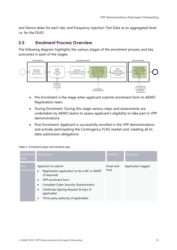and Device data) for each site, and Frequency Injection Test Data at an aggregated level i.e. for the DUID.

#### <span id="page-9-0"></span>**2.5 Enrolment Process Overview**

The following diagram highlights the various stages of the enrolment process and key outcomes in each of the stages.



- Pre-Enrolment is the stage when applicant submits enrolment form to AEMO Registration team
- During Enrolment: During this stage various steps and assessments are undertaken by AEMO teams to assess applicant's eligibility to take part in VPP demonstrations.
- Post Enrolment: Applicant is successfully enrolled in the VPP demonstrations and actively participating the Contingency FCAS market and, meeting all its data submission obligations.

#### Table 1: Enrolment steps and interface type

| Enrolment<br>step | Description                                                                                                                                                                                                                                                                                           | Method            | Outcome            |
|-------------------|-------------------------------------------------------------------------------------------------------------------------------------------------------------------------------------------------------------------------------------------------------------------------------------------------------|-------------------|--------------------|
| Pre-<br>enrolment | Applicant to submit<br>Registration application to be a MC or MASP<br>$\bullet$<br>(if required)<br>VPP enrolment form<br>$\bullet$<br>Complete Cyber Security Questionnaire<br>٠<br>Certificate Signing Request & Keys (if<br>$\bullet$<br>applicable)<br>Third-party authority (if applicable)<br>٠ | Email and<br>Post | Application logged |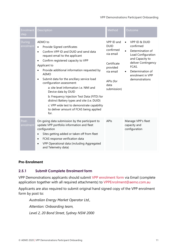#### VPP Demonstrations Participant Onboarding

| Enrolment<br>step   | Description                                                                                                                                                                                                                                                                                                                                                                                                                                                                                                                                                                                                | Method                                                                                                                          | Outcome                                                                                                                                                                                      |
|---------------------|------------------------------------------------------------------------------------------------------------------------------------------------------------------------------------------------------------------------------------------------------------------------------------------------------------------------------------------------------------------------------------------------------------------------------------------------------------------------------------------------------------------------------------------------------------------------------------------------------------|---------------------------------------------------------------------------------------------------------------------------------|----------------------------------------------------------------------------------------------------------------------------------------------------------------------------------------------|
| During<br>enrolment | AEMO to<br>Provide Signed certificates<br>$\bullet$<br>Confirm VPP ID and DUID and send data<br>request email to the applicant<br>Confirm registered capacity to VPP<br>$\bullet$<br>Applicant to<br>Provide additional information requested by<br><b>AEMO</b><br>Submit data for the ancillary service load<br>configuration assessment:<br>a: site level information i.e. NMI and<br>Device data by DUID<br>b: Frequency Injection Test Data (FITD) for<br>distinct Battery types and site (i.e. DUID)<br>c: VPP wide test to demonstrate capability<br>to deliver amount of FCAS being applied<br>for. | VPP ID and<br><b>DUID</b><br>confirmed<br>via email<br>Certificate<br>provided<br>via email<br>APIs (for<br>data<br>submission) | <b>VPP ID &amp; DUID</b><br>confirmed<br>Determination of<br>Load Configuration<br>and Capacity to<br>deliver Contingency<br>FCAS.<br>Determination of<br>enrolment in VPP<br>demonstrations |
| Post-<br>enrolment  | On-going data submission by the participant to<br>update VPP portfolio information and fleet<br>configuration<br>Sites getting added or taken off from fleet<br>FCAS response verification data<br>VPP Operational data (including Aggregated<br>and Telemetry data)                                                                                                                                                                                                                                                                                                                                       | APIs                                                                                                                            | Manage VPP's fleet<br>capacity and<br>configuration                                                                                                                                          |

#### **Pre-Enrolment**

#### **2.5.1 Submit Complete Enrolment form**

VPP Demonstrations applicants should submit [VPP enrolment form](https://aemo.com.au/-/media/files/electricity/nem/der/2019/vpp-demonstrations/vpp-demonstrations-enrolment-form.docx?la=en&hash=806A6B2661EDB1EB5C4094489B14A4CA) via Email (complete application together with all required attachments) to [VPPEnrolment@aemo.com.au](mailto:VPPEnrolment@aemo.com.au)

Applicants are also required to submit original hand signed copy of the VPP enrolment form by post to:

*Australian Energy Market Operator Ltd., Attention: Onboarding team, Level 2, 20 Bond Street, Sydney NSW 2000*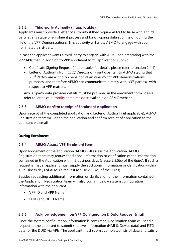#### **2.5.2 Third-party Authority (if applicable)**

Applicants must provide a letter of authority if they require AEMO to liaise with a third party at any stage of enrolment process and for on-going data submission during the life of the VPP Demonstrations. This authority will allow AEMO to engage with your nominated third-party.

In case the applicant wants a third-party to engage with AEMO for integrating with the VPP APIs then in addition to VPP enrolment form, applicant to submit:

- Certificate Signing Request (if applicable, for details please [refer to section 2.4.1\)](#page-13-2)
- Letter of Authority from CEO/ Director of <participants> to AEMO stating that <3rd Party> are acting on behalf of <Participant> for VPP demonstrations purposes, and therefore AEMO can communicate directly with  $\langle 3^{rd}$  parties  $>$  with respect to VPP matters.

Any 3<sup>rd</sup> party data provider details must be provided in the enrolment form. Please refer to [letter-of-authority-template.docx](https://aemo.com.au/-/media/files/electricity/nem/participant_information/new-participants/letter-of-authority-template.docx?la=en) available on AEMO website.

#### **2.5.3 AEMO confirm receipt of Enrolment Application**

Upon receipt of the completed application and Letter of Authority (if applicable), AEMO Registration team will lodge the application and confirm receipt of application to the applicant via email.

#### **During Enrolment**

#### **2.5.4 AEMO Assess VPP Enrolment Form**

Upon lodgement of the application, AEMO will assess the application. AEMO Registration team may request additional information or clarification of the information contained in the Application within 5 business days (clause 2.3.5(c) of the *Rules*). If such a request is made, applicant must supply the additional information or clarification within 15 business days of AEMO's request (clause 2.3.5(d) of the Rules).

Besides requesting additional information or clarification of the information contained in the Application, Registration team will also confirm below system configuration information with the applicant.

- VPP ID and VPP Name
- DUID and DUID Name

#### **2.5.5 Acknowledgement on VPP Configuration & Data Request Email**

Once the system configuration information is confirmed, Registration team will send a request to the applicant to submit site level information (NMI & Device data) and FITD data for the DUID via APIs. The applicant must submit completed lists of data and satisfy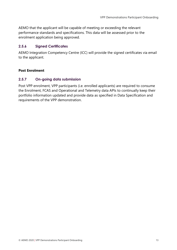AEMO that the applicant will be capable of meeting or exceeding the relevant performance standards and specifications. This data will be assessed prior to the enrolment application being approved.

#### **2.5.6 Signed Certificates**

AEMO Integration Competency Centre (ICC) will provide the signed certificates via email to the applicant.

#### **Post Enrolment**

#### **2.5.7 On-going data submission**

Post VPP enrolment, VPP participants (i.e. enrolled applicants) are required to consume the Enrolment, FCAS and Operational and Telemetry data APIs to continually keep their portfolio information updated and provide data as specified in Data Specification and requirements of the VPP demonstration.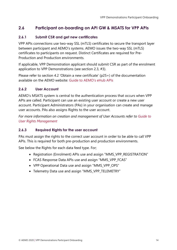### <span id="page-13-0"></span>**2.6 Participant on-boarding on API GW & MSATS for VPP APIs**

#### <span id="page-13-2"></span>**2.6.1 Submit CSR and get new certificates**

VPP APIs connections use two-way SSL (mTLS) certificates to secure the transport layer between participant and AEMO's systems. AEMO issues the two-way SSL (mTLS) certificates to participants on request. Distinct Certificates are required for Pre-Production and Production environments.

If applicable, VPP Demonstration applicant should submit CSR as part of the enrolment application to VPP Demonstrations (see section 2.3, #3).

Please refer to section 4.2 'Obtain a new certificate' (p25+) of the documentation available on the AEMO website: [Guide to AEMO's eHub APIs](https://www.aemo.com.au/-/media/Files/Electricity/NEM/IT-Systems-and-Change/2018/Guide-to-AEMOs-eHub-APIs.pdf)

#### **2.6.2 User Account**

AEMO's MSATS system is central to the authentication process that occurs when VPP APIs are called. Participant can use an existing user account or create a new user account. Participant Administrators (PAs) in your organisation can create and manage user accounts. PAs also assigns Rights to the user account.

*For more information on creation and management of User Accounts refer to [Guide to](https://aemo.com.au/-/media/files/electricity/nem/retail_and_metering/market_settlement_and_transfer_solutions/guide_to_user_rights_management.pdf)  [User Rights Management](https://aemo.com.au/-/media/files/electricity/nem/retail_and_metering/market_settlement_and_transfer_solutions/guide_to_user_rights_management.pdf)*

#### <span id="page-13-1"></span>**2.6.3 Required Rights for the user account**

PAs must assign the rights to the correct user account in order to be able to call VPP APIs. This is required for both pre-production and production environments.

See below the Rights for each data feed type. For;

- Registration (Enrolment) APIs use and assign "MMS\_VPP\_REGISTRATION"
- FCAS Response Data APIs use and assign "MMS\_VPP\_FCAS"
- VPP Operational Data use and assign "MMS\_VPP\_OPS"
- Telemetry Data use and assign "MMS\_VPP\_TELEMETRY"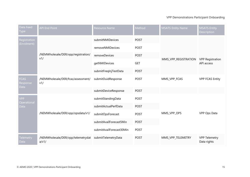#### VPP Demonstrations Participant Onboarding

| Data Feed<br><b>Type</b>        | <b>API End Point</b>                        | <b>Resource Name</b>     | Method      | <b>MSATS Entity Name</b> | <b>MSATS Entity</b><br>Description    |
|---------------------------------|---------------------------------------------|--------------------------|-------------|--------------------------|---------------------------------------|
| Registration                    |                                             | submitNMIDevices         | <b>POST</b> |                          | <b>VPP Registration</b><br>API access |
| (Enrolment)                     |                                             | removeNMIDevices         | <b>POST</b> |                          |                                       |
|                                 | /NEMWholesale/DER/vpp/registration/<br>v1/  | removeDevices            | <b>POST</b> | MMS_VPP_REGISTRATION     |                                       |
|                                 |                                             | getNMIDevices            | <b>GET</b>  |                          |                                       |
|                                 |                                             | submitFreqInjTestData    | <b>POST</b> |                          |                                       |
| <b>FCAS</b><br>Response<br>Data | /NEMWholesale/DER/fcas/assessment/<br>v1/   | submitDuidResponse       | <b>POST</b> | MMS_VPP_FCAS             | <b>VPP FCAS Entity</b>                |
|                                 |                                             | submitDeviceResponse     | <b>POST</b> |                          |                                       |
| <b>VPP</b><br>Operational       | /NEMWholesale/DER/vpp/opsdata/v1/           | submitStandingData       | <b>POST</b> |                          |                                       |
| Data                            |                                             | submitActualPerfData     | <b>POST</b> |                          |                                       |
|                                 |                                             | submitOpsForecast        | <b>POST</b> | MMS_VPP_OPS              | VPP Ops Data                          |
|                                 |                                             | submitAvailForecast5Min  | <b>POST</b> |                          |                                       |
|                                 |                                             | submitAvailForecast30Min | <b>POST</b> |                          |                                       |
| Telemetry<br>Data               | /NEMWholesale/DER/vpp/telemetrydat<br>a/v1/ | submitTelemetryData      | <b>POST</b> | MMS_VPP_TELEMETRY        | <b>VPP Telemetry</b><br>Data rights   |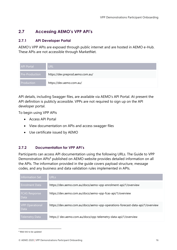### <span id="page-15-0"></span>**2.7 Accessing AEMO's VPP API's**

#### **2.7.1 API Developer Portal**

AEMO's VPP APIs are exposed through public internet and are hosted in AEMO e-Hub. These APIs are not accessible through MarketNet.

| <b>API Portal</b>     | <b>URL</b>                       |
|-----------------------|----------------------------------|
| <b>Pre-Production</b> | https://dev.preprod.aemo.com.au/ |
| <b>Production</b>     | https://dev.aemo.com.au/         |

API details, including Swagger files, are available via AEMO's API Portal. At present the API definition is publicly accessible. VPPs are not required to sign up on the API developer portal.

To begin using VPP APIs

- Access API Portal
- View documentation on APIs and access swagger files
- Use certificate issued by AEMO

#### **2.7.2 Documentation for VPP API's**

Participants can access API documentation using the following URLs. The Guide to VPP Demonstration APIs<sup>4</sup> published on AEMO website provides detailed information on all the APIs. The information provided in the guide covers payload structure, message codes, and any business and data validation rules implemented in APIs.

| <b>Information Set</b>         | <b>URLs</b>                                                                   |
|--------------------------------|-------------------------------------------------------------------------------|
| <b>Enrolment Data</b>          | https://dev.aemo.com.au/docs/aemo-vpp-enrolment-api/1/overview                |
| <b>FCAS Response</b><br>Data   | https://dev.aemo.com.au/docs/aemo-vpp-fcas-api/1/overview                     |
| <b>VPP Operational</b><br>Data | https://dev.aemo.com.au/docs/aemo-vpp-operations-forecast-data-api/1/overview |
| <b>Telemetry Data</b>          | https:// dev.aemo.com.au/docs/vpp-telemetry-data-api/1/overview               |

<sup>4</sup> Web link to be updated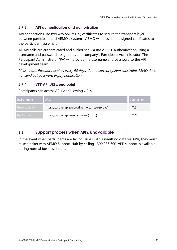#### **2.7.3 API authentication and authorisation**

API connections use two way SSL(mTLS) certificates to secure the transport layer between participant and AEMO's systems. AEMO will provide the signed certificates to the participant via email.

All API calls are authenticated and authorised via Basic HTTP authentication using a username and password assigned by the company's Participant Administrator. The Participant Administrator (PA) will provide the username and password to the API development team.

*Please note: Password expires every 90 days, due to current system constraint AEMO does not send out password expiry notification*

#### **2.7.4 VPP API URLs/end point**

Participants can access APIs via following URLs.

| l Environment     | <b>URLs</b>                                     | <b>Connection</b> |
|-------------------|-------------------------------------------------|-------------------|
| Pre-production    | https://partner.api.preprod.aemo.com.au/{proxy} | mTLS              |
| <b>Production</b> | https://partner.api.aemo.com.au/{proxy}         | mTLS              |

#### <span id="page-16-0"></span>**2.8 Support process when API's unavailable**

In the event when participants are facing issues with submitting data via APIs, they must raise a ticket with AEMO Support Hub by calling 1300 236 600. VPP support is available during normal business hours.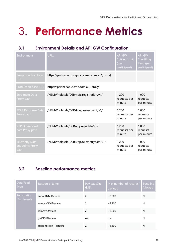# <span id="page-17-0"></span>3. Performance Metrics

## <span id="page-17-1"></span>**3.1 Environment Details and API GW Configuration**

| Environment                                      | <b>URLs</b>                                     | <b>API GW</b><br><b>Spiking Limit</b><br>(per<br>participant) | <b>API GW</b><br>Throttling<br>Limit (per<br>participant) |
|--------------------------------------------------|-------------------------------------------------|---------------------------------------------------------------|-----------------------------------------------------------|
| Pre-production base<br><b>URL</b>                | https://partner.api.preprod.aemo.com.au/{proxy} |                                                               |                                                           |
| <b>Production base URL</b>                       | https://partner.api.aemo.com.au/{proxy}         |                                                               |                                                           |
| <b>Enrolment Data</b><br>Proxy path              | /NEMWholesale/DER/vpp/registration/v1/          | 1,200<br>requests per<br>minute                               | 1,000<br>requests<br>per minute                           |
| FCAS Response Data<br>Proxy path                 | /NEMWholesale/DER/fcas/assessment/v1/           | 1,200<br>requests per<br>minute                               | 1,000<br>requests<br>per minute                           |
| <b>VPP Operational</b><br>data Proxy path        | /NEMWholesale/DER/vpp/opsdata/v1/               | 1,200<br>requests per<br>minute                               | 1,000<br>requests<br>per minute                           |
| <b>Telemetry Data</b><br>endpoints Proxy<br>path | /NEMWholesale/DER/vpp/telemetrydata/v1/         | 1,200<br>requests per<br>minute                               | 1,000<br>requests<br>per minute                           |

## <span id="page-17-2"></span>**3.2 Baseline performance metrics**

| Data Feed<br><b>Type</b>    | <b>Resource Name</b>  | Payload Size<br>(MB) | Max number of records/<br>payload | <b>Bundling</b><br>Allowed |
|-----------------------------|-----------------------|----------------------|-----------------------------------|----------------------------|
| Registration<br>(Enrolment) | submitNMIDevices      | 2                    | ~2,200                            | N                          |
|                             | removeNMIDevices      | 2                    | ~2.200                            | N                          |
|                             | removeDevices         | 2                    | ~2.200                            | N                          |
|                             | getNMIDevices         | n.a.                 | n.a.                              | N                          |
|                             | submitFreqInjTestData | 2                    | ~8.300                            | N                          |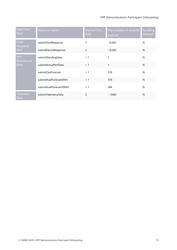#### VPP Demonstrations Participant Onboarding

| Data Feed<br><b>Type</b>  | <b>Resource Name</b>     | Payload Size<br>(MB) | Max number of records/<br>payload | <b>Bundling</b><br>Allowed |
|---------------------------|--------------------------|----------------------|-----------------------------------|----------------------------|
| <b>FCAS</b><br>Response   | submitDuidResponse       | 2                    | ~10,200                           | N                          |
| data                      | submitDeviceResponse     | $\overline{c}$       | ~10,200                           | $\mathsf{N}$               |
| <b>VPP</b><br>Operational | submitStandingData       | < 1                  | 1                                 | N                          |
| Data                      | submitActualPerfData     | < 1                  | $\mathbf{1}$                      | $\mathsf{N}$               |
|                           | submitOpsForecast        | < 1                  | 576                               | N                          |
|                           | submitAvailForecast5Min  | < 1                  | 576                               | $\mathsf{N}$               |
|                           | submitAvailForecast30Min | < 1                  | 384                               | N                          |
| Telemetry<br>Data         | submitTelemetryData      | 2                    | $~\sim 2000$                      | N                          |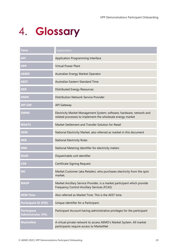# <span id="page-19-0"></span>4. Glossary

| Term                                            | Explanation                                                                                                                         |
|-------------------------------------------------|-------------------------------------------------------------------------------------------------------------------------------------|
| <b>APL</b>                                      | Application Programming Interface                                                                                                   |
| <b>VPP</b>                                      | <b>Virtual Power Plant</b>                                                                                                          |
| <b>AEMO</b>                                     | Australian Energy Market Operator                                                                                                   |
| <b>AEST</b>                                     | Australian Eastern Standard Time                                                                                                    |
| <b>DER</b>                                      | <b>Distributed Energy Resources</b>                                                                                                 |
| <b>DNPS</b>                                     | Distribution Network Service Provider                                                                                               |
| <b>API GW</b>                                   | <b>API Gateway</b>                                                                                                                  |
| <b>EMMS</b>                                     | Electricity Market Management System; software, hardware, network and<br>related processes to implement the wholesale energy market |
| <b>MSATS</b>                                    | Market Settlement and Transfer Solution for Retail                                                                                  |
| <b>NEM</b>                                      | National Electricity Market, also referred as market in this document                                                               |
| <b>NER</b>                                      | <b>National Electricity Rules</b>                                                                                                   |
| <b>NMI</b>                                      | National Metering Identifier for electricity meters                                                                                 |
| <b>DUID</b>                                     | Dispatchable unit identifier                                                                                                        |
| <b>CSR</b>                                      | <b>Certificate Signing Request</b>                                                                                                  |
| <b>MC</b>                                       | Market Customer (aka Retailer), who purchases electricity from the spot<br>market.                                                  |
| <b>MASP</b>                                     | Market Ancillary Service Provider, is a market participant which provide<br>Frequency Control Ancillary Services (FCAS)             |
| <b>NEM Time</b>                                 | Also referred as Market Time. This is the AEST time.                                                                                |
| <b>Participant ID (PID)</b>                     | Unique identifier for a Participant.                                                                                                |
| <b>Participant</b><br><b>Administrator (PA)</b> | Participant Account having administrative privileges for the participant                                                            |
| <b>MarketNet</b>                                | A virtual private network to access AEMO's Market System. All market<br>participants require access to MarketNet                    |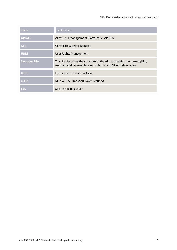| <b>Term</b>         | Explanation                                                                                                                                  |
|---------------------|----------------------------------------------------------------------------------------------------------------------------------------------|
| <b>APIGEE</b>       | AEMO API Management Platform i.e. API GW                                                                                                     |
| <b>CSR</b>          | Certificate Signing Request                                                                                                                  |
| <b>URM</b>          | User Rights Management                                                                                                                       |
| <b>Swagger File</b> | This file describes the structure of the API, It specifies the format (URL,<br>method, and representation) to describe RESTful web services. |
| <b>HTTP</b>         | Hyper Text Transfer Protocol                                                                                                                 |
| mTLS                | Mutual TLS (Transport Layer Security)                                                                                                        |
| <b>SSL</b>          | Secure Sockets Layer                                                                                                                         |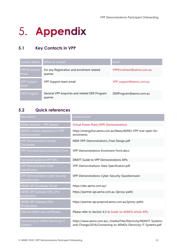# <span id="page-21-0"></span>5. Appendix

# <span id="page-21-1"></span>**5.1 Key Contacts in VPP**

| <b>Contact Name</b>           | When to contact                                          | Email                    |
|-------------------------------|----------------------------------------------------------|--------------------------|
| <b>VPP Enrolment</b><br>Email | For any Registration and enrolment related<br>queries    | VPPEnrolment@aemo.com.au |
| <b>VPP Support</b><br>Email   | VPP Support team email                                   | VPP_support@aemo.com.au  |
| DER Program                   | General VPP enquiries and related DER Program<br>queries | DERProgram@aemo.com.au   |

# <span id="page-21-2"></span>**5.2 Quick references**

| Description                                              | Location/Link                                                                                                                       |
|----------------------------------------------------------|-------------------------------------------------------------------------------------------------------------------------------------|
| <b>AEMO Website - VPP Details</b>                        | <b>Virtual Power Plant (VPP) Demonstrations</b>                                                                                     |
| <b>AEMO's</b> media statement on VPP<br>Demonstration    | https://energylive.aemo.com.au/News/AEMO-VPP-trial-open-for-<br>enrolments                                                          |
| <b>VPP Demonstration Design</b><br>Document              | NEM-VPP-Demonstrations_Final-Design.pdf                                                                                             |
| <b>VPP Demonstration Enrolment Form</b>                  | VPP-Demonstrations-Enrolment-Form.docx                                                                                              |
| <b>Technical Guide to VPP APIs</b>                       | DRAFT Guide to VPP Demonstrations APIs                                                                                              |
| <b>VPP Demonstration Data</b><br>Specification           | VPP-Demonstrations-Data-Specification.pdf                                                                                           |
| <b>VPP Demonstration Cyber Security</b><br>Questionnaire | VPP-Demonstrations-Cyber-Security-Questionnaire                                                                                     |
| <b>AEMO API Developer Portal</b>                         | https://dev.aemo.com.au/                                                                                                            |
| <b>AEMO API Gateway URLs (Pre-</b><br>production)        | https://partner.api.aemo.com.au /{proxy-path}                                                                                       |
| <b>AEMO API Gateway URLs</b><br>(Production)             | https://partner.api.preprod.aemo.com.au/{proxy-path}                                                                                |
| How to obtain new certificates                           | Please refer to Section 4.2 in Guide-to-AEMOs-eHub-APIs                                                                             |
| Connecting to AEMO Electricity IT<br><b>Systems</b>      | https://www.aemo.com.au/-/media/Files/Electricity/NEM/IT-Systems-<br>and-Change/2016/Connecting-to-AEMOs-Electricity-IT-Systems.pdf |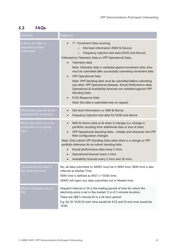# <span id="page-22-0"></span>**5.3 FAQs**

| Question                                                    | Response                                                                                                                                                                                                                                                                                                                                                                                                                                                                                                                                                                                                                                                                                                                      |
|-------------------------------------------------------------|-------------------------------------------------------------------------------------------------------------------------------------------------------------------------------------------------------------------------------------------------------------------------------------------------------------------------------------------------------------------------------------------------------------------------------------------------------------------------------------------------------------------------------------------------------------------------------------------------------------------------------------------------------------------------------------------------------------------------------|
| Is there an order or<br>sequence of data<br>submission      | 1 <sup>st</sup> : Enrolment Data covering<br>Site level information (NMI & Device)<br>$\circ$<br>Frequency Injection test data (DUID and Device)<br>$\circ$<br>Followed by Telemetry Data or VPP Operational Data,<br>Telemetry data:<br>Note: Telemetry data is validated against enrolment data; thus<br>must be submitted after successfully submitting enrolment data<br><b>VPP Operational Data</b><br>Note: VPP Standing data must be submitted before submitting<br>any other VPP Operational datasets. Actual Performance data,<br>Operational & Availability forecasts are validated against VPP<br><b>Standing Data.</b><br><b>FCAS Response Data</b><br>$\bullet$<br>Note: this data is submitted only on request. |
| Which data type are to be<br>submitted for enrolment        | Site level information i.e. NMI & Device<br>Frequency Injection test data for DUID and device                                                                                                                                                                                                                                                                                                                                                                                                                                                                                                                                                                                                                                 |
| Which data sets are to be<br>submitted on on-going<br>basis | NMI & Device data as & when it changes (i.e. change in<br>$\bullet$<br>portfolio resulting from additional sites or loss of sites)<br>VPP Operational Standing Data - initially and whenever the VPP<br>fleet configuration changes<br>Note: Only submit VPP Standing Data when there is a change in VPP<br>portfolio otherwise do no submit standing data.<br>Actual performance data every 5 mins.<br>$\bullet$<br>Operational forecast every 5 mins<br>Availability forecast every 5 mins and 30 mins.                                                                                                                                                                                                                     |
| Can data be provided in<br>the local time zone              | No, all data submitted to AEMO must be in NEM time. NEM time is also<br>referred as Market Time.<br>NEM time is defined as AEST (+10:00) time.<br>AEMO will reject any data submitted not in Market time.                                                                                                                                                                                                                                                                                                                                                                                                                                                                                                                     |
| What is Dispatch Interval<br>(DI)                           | Dispatch Interval or DI is the trading period of time for which the<br>electricity price is set in the market. It is of 5-minute duration.<br>There are 288 5-minute DI in a 24-hour period.<br>E.g. for DI 10.00 DI start time would be 9.55 and DI end time would be<br>10.00                                                                                                                                                                                                                                                                                                                                                                                                                                               |